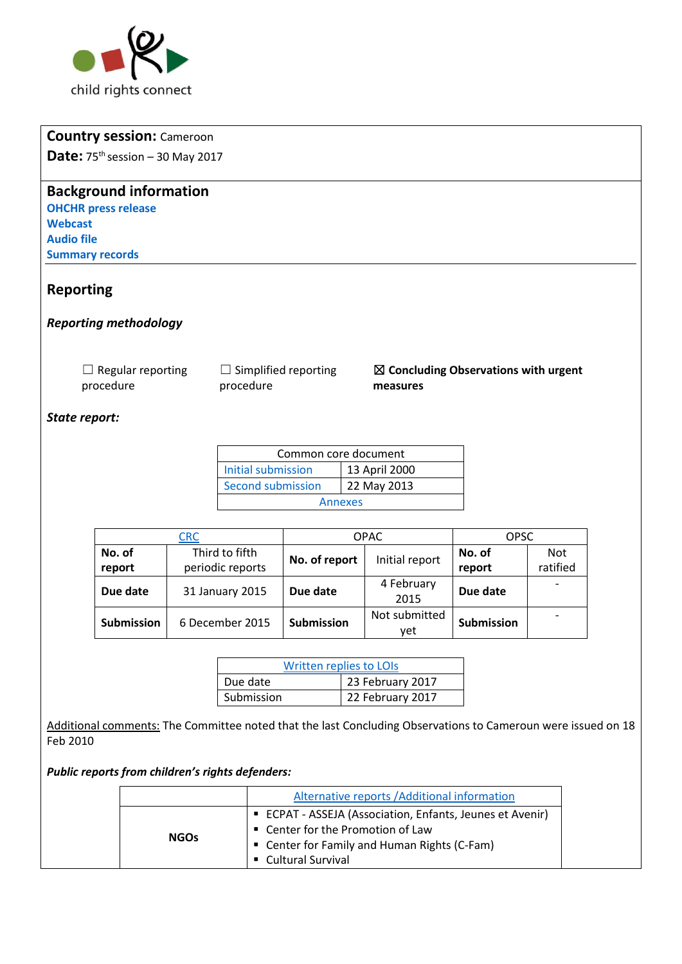

# **Country session:** Cameroon

Date: 75<sup>th</sup> session - 30 May 2017

## **Background information**

**[OHCHR press release](http://www.ohchr.org/EN/NewsEvents/Pages/DisplayNews.aspx?NewsID=21675&LangID=E) [Webcast](http://webtv.un.org/meetings-events/human-rights-treaty-bodies/committee-on-the-rights-of-the-child/75th-session/watch/consideration-of-cameroon-2214th-meeting-75th-session-committee-on-the-rights-of-the-child/5451050144001) [Audio file](http://conf.unog.ch/digitalrecordings/) [Summary](http://tbinternet.ohchr.org/_layouts/treatybodyexternal/SessionDetails1.aspx?SessionID=1100&Lang=en) records** 

### **Reporting**

*Reporting methodology* 

□ Regular reporting procedure

 $\Box$  Simplified reporting procedure

### ☒ **Concluding Observations with urgent measures**

### *State report:*

| Common core document |               |  |
|----------------------|---------------|--|
| Initial submission   | 13 April 2000 |  |
| Second submission    | 22 May 2013   |  |
| Annexes              |               |  |

| <u>CRC</u>                           |                   | <b>OPAC</b>   |                   | <b>OPSC</b>              |                          |
|--------------------------------------|-------------------|---------------|-------------------|--------------------------|--------------------------|
| No. of                               | Third to fifth    | No. of report | Initial report    | No. of                   | <b>Not</b>               |
| report                               | periodic reports  |               |                   | report                   | ratified                 |
| Due date                             | 31 January 2015   | Due date      | 4 February        | Due date                 | $\overline{\phantom{a}}$ |
|                                      |                   |               | 2015              |                          |                          |
| <b>Submission</b><br>6 December 2015 | <b>Submission</b> | Not submitted | <b>Submission</b> | $\overline{\phantom{0}}$ |                          |
|                                      |                   | yet           |                   |                          |                          |

| <b>Written replies to LOIs</b> |                  |  |
|--------------------------------|------------------|--|
| Due date                       | 23 February 2017 |  |
| Submission                     | 22 February 2017 |  |

Additional comments: The Committee noted that the last Concluding Observations to Cameroun were issued on 18 Feb 2010

#### *Public reports from children's rights defenders:*

|             | Alternative reports / Additional information                                                                                                   |
|-------------|------------------------------------------------------------------------------------------------------------------------------------------------|
| <b>NGOs</b> | ■ ECPAT - ASSEJA (Association, Enfants, Jeunes et Avenir)<br>■ Center for the Promotion of Law<br>■ Center for Family and Human Rights (C-Fam) |
|             | • Cultural Survival                                                                                                                            |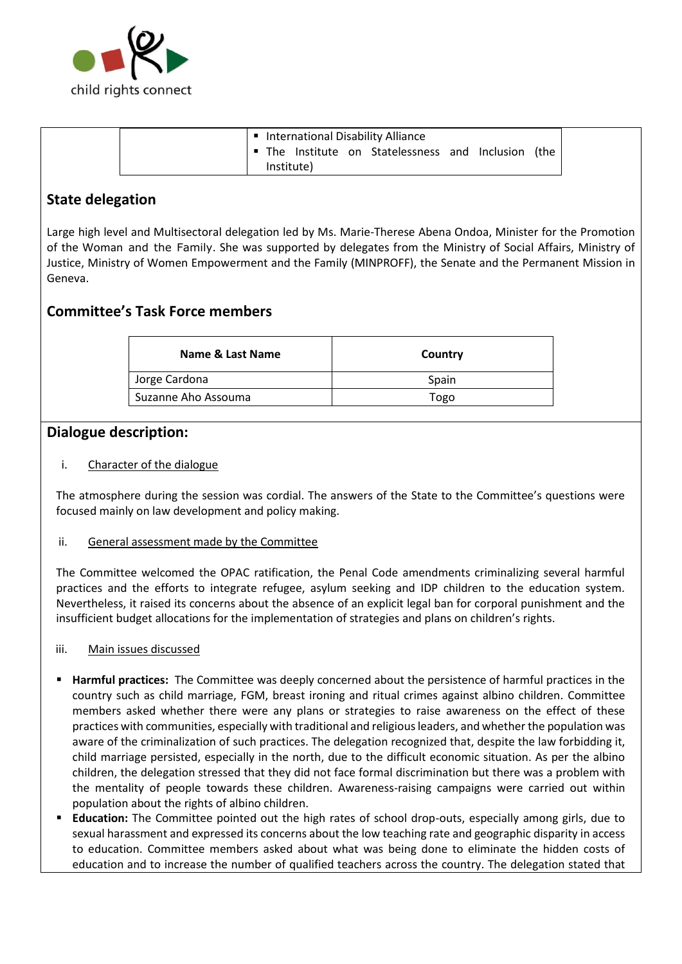

| International Disability Alliance                 |  |
|---------------------------------------------------|--|
| The Institute on Statelessness and Inclusion (the |  |
| Institute)                                        |  |

## **State delegation**

Large high level and Multisectoral delegation led by Ms. Marie-Therese Abena Ondoa, Minister for the Promotion of the Woman and the Family. She was supported by delegates from the Ministry of Social Affairs, Ministry of Justice, Ministry of Women Empowerment and the Family (MINPROFF), the Senate and the Permanent Mission in Geneva.

## **Committee's Task Force members**

| Name & Last Name    | Country |
|---------------------|---------|
| Jorge Cardona       | Spain   |
| Suzanne Aho Assouma | Togo    |

### **Dialogue description:**

i. Character of the dialogue

The atmosphere during the session was cordial. The answers of the State to the Committee's questions were focused mainly on law development and policy making.

#### ii. General assessment made by the Committee

The Committee welcomed the OPAC ratification, the Penal Code amendments criminalizing several harmful practices and the efforts to integrate refugee, asylum seeking and IDP children to the education system. Nevertheless, it raised its concerns about the absence of an explicit legal ban for corporal punishment and the insufficient budget allocations for the implementation of strategies and plans on children's rights.

#### iii. Main issues discussed

- **Harmful practices:** The Committee was deeply concerned about the persistence of harmful practices in the country such as child marriage, FGM, breast ironing and ritual crimes against albino children. Committee members asked whether there were any plans or strategies to raise awareness on the effect of these practices with communities, especially with traditional and religious leaders, and whether the population was aware of the criminalization of such practices. The delegation recognized that, despite the law forbidding it, child marriage persisted, especially in the north, due to the difficult economic situation. As per the albino children, the delegation stressed that they did not face formal discrimination but there was a problem with the mentality of people towards these children. Awareness-raising campaigns were carried out within population about the rights of albino children.
- **Education:** The Committee pointed out the high rates of school drop-outs, especially among girls, due to sexual harassment and expressed its concerns about the low teaching rate and geographic disparity in access to education. Committee members asked about what was being done to eliminate the hidden costs of education and to increase the number of qualified teachers across the country. The delegation stated that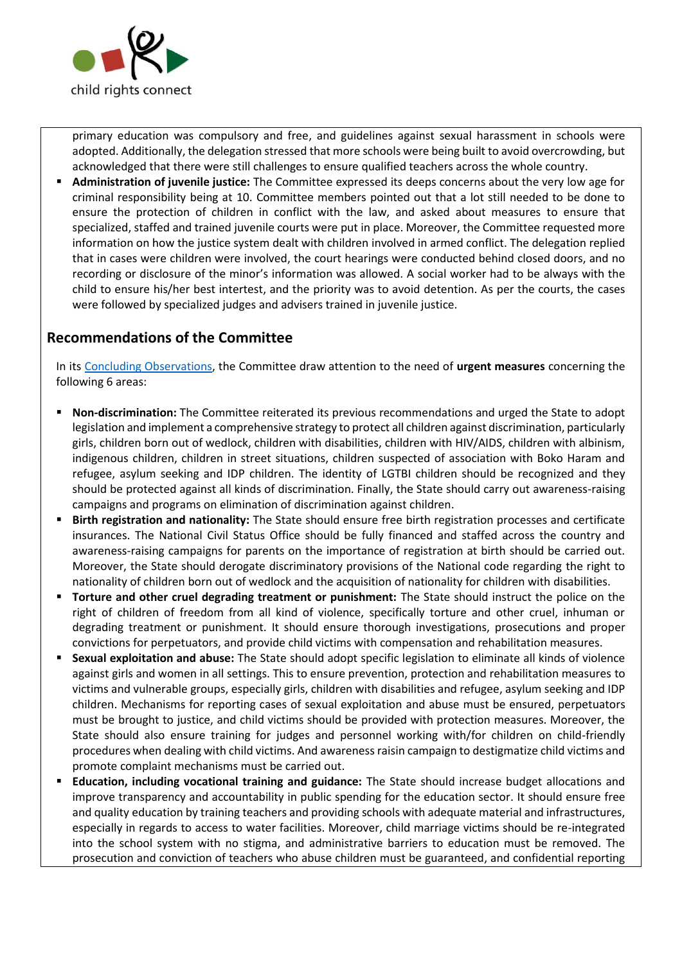

primary education was compulsory and free, and guidelines against sexual harassment in schools were adopted. Additionally, the delegation stressed that more schools were being built to avoid overcrowding, but acknowledged that there were still challenges to ensure qualified teachers across the whole country.

Administration of juvenile justice: The Committee expressed its deeps concerns about the very low age for criminal responsibility being at 10. Committee members pointed out that a lot still needed to be done to ensure the protection of children in conflict with the law, and asked about measures to ensure that specialized, staffed and trained juvenile courts were put in place. Moreover, the Committee requested more information on how the justice system dealt with children involved in armed conflict. The delegation replied that in cases were children were involved, the court hearings were conducted behind closed doors, and no recording or disclosure of the minor's information was allowed. A social worker had to be always with the child to ensure his/her best intertest, and the priority was to avoid detention. As per the courts, the cases were followed by specialized judges and advisers trained in juvenile justice.

## **Recommendations of the Committee**

In its [Concluding Observations,](http://tbinternet.ohchr.org/Treaties/CRC/Shared%20Documents/CMR/CRC_C_CMR_CO_3-5_27633_E.pdf) the Committee draw attention to the need of **urgent measures** concerning the following 6 areas:

- **Non-discrimination:** The Committee reiterated its previous recommendations and urged the State to adopt legislation and implement a comprehensive strategy to protect all children against discrimination, particularly girls, children born out of wedlock, children with disabilities, children with HIV/AIDS, children with albinism, indigenous children, children in street situations, children suspected of association with Boko Haram and refugee, asylum seeking and IDP children. The identity of LGTBI children should be recognized and they should be protected against all kinds of discrimination. Finally, the State should carry out awareness-raising campaigns and programs on elimination of discrimination against children.
- **Birth registration and nationality:** The State should ensure free birth registration processes and certificate insurances. The National Civil Status Office should be fully financed and staffed across the country and awareness-raising campaigns for parents on the importance of registration at birth should be carried out. Moreover, the State should derogate discriminatory provisions of the National code regarding the right to nationality of children born out of wedlock and the acquisition of nationality for children with disabilities.
- **Torture and other cruel degrading treatment or punishment:** The State should instruct the police on the right of children of freedom from all kind of violence, specifically torture and other cruel, inhuman or degrading treatment or punishment. It should ensure thorough investigations, prosecutions and proper convictions for perpetuators, and provide child victims with compensation and rehabilitation measures.
- **Sexual exploitation and abuse:** The State should adopt specific legislation to eliminate all kinds of violence against girls and women in all settings. This to ensure prevention, protection and rehabilitation measures to victims and vulnerable groups, especially girls, children with disabilities and refugee, asylum seeking and IDP children. Mechanisms for reporting cases of sexual exploitation and abuse must be ensured, perpetuators must be brought to justice, and child victims should be provided with protection measures. Moreover, the State should also ensure training for judges and personnel working with/for children on child-friendly procedures when dealing with child victims. And awareness raisin campaign to destigmatize child victims and promote complaint mechanisms must be carried out.
- **Education, including vocational training and guidance:** The State should increase budget allocations and improve transparency and accountability in public spending for the education sector. It should ensure free and quality education by training teachers and providing schools with adequate material and infrastructures, especially in regards to access to water facilities. Moreover, child marriage victims should be re-integrated into the school system with no stigma, and administrative barriers to education must be removed. The prosecution and conviction of teachers who abuse children must be guaranteed, and confidential reporting